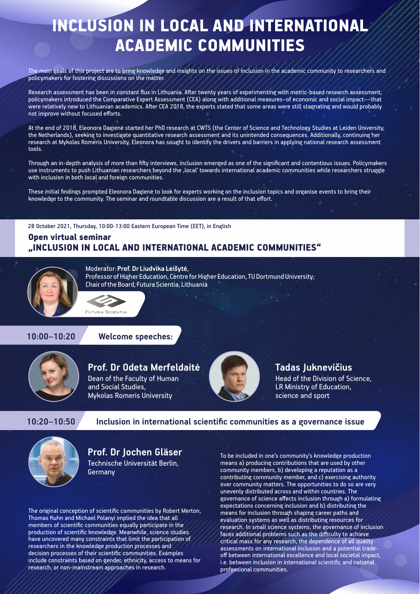# INCLUSION IN LOCAL AND INTERNATIONAL ACADEMIC COMMUNITIES

The main goals of this project are to bring knowledge and insights on the issues of inclusion in the academic community to researchers and policymakers for fostering discussions on the matter.

Research assessment has been in constant flux in Lithuania. After twenty years of experimenting with metric-based research assessment, policymakers introduced the Comparative Expert Assessment (CEA) along with additional measures–of economic and social impact––that were relatively new to Lithuanian academics. After CEA 2018, the experts stated that some areas were still stagnating and would probably not improve without focused efforts.

At the end of 2018, Eleonora Dagienė started her PhD research at CWTS (the Center of Science and Technology Studies at Leiden University, the Netherlands), seeking to investigate quantitative research assessment and its unintended consequences. Additionally, continuing her research at Mykolas Romeris University, Eleonora has sought to identify the drivers and barriers in applying national research assessment tools.

Through an in-depth analysis of more than fifty interviews, inclusion emerged as one of the significant and contentious issues. Policymakers use instruments to push Lithuanian researchers beyond the 'local' towards international academic communities while researchers struggle with inclusion in both local and foreign communities.

These initial findings prompted Eleonora Dagienė to look for experts working on the inclusion topics and organise events to bring their knowledge to the community. The seminar and roundtable discussion are a result of that effort.

28 October 2021, Thursday, 10:00-13:00 Eastern European Time (EET), in English

# Open virtual seminar "INCLUSION IN LOCAL AND INTERNATIONAL ACADEMIC COMMUNITIES"



Moderator: **Prof. Dr Liudvika Leišytė**, Professor of Higher Education, Centre for Higher Education, TU Dortmund University; Chair of the Board, Futura Scientia, Lithuania

**10:00–10:20 Welcome speeches:**

FUTURA SCIENTIA



# **Prof. Dr Odeta Merfeldaitė**

Dean of the Faculty of Human and Social Studies. Mykolas Romeris University



# **Tadas Juknevičius**

Head of the Division of Science, LR Ministry of Education, science and sport

**10:20–10:50 Inclusion in international scientific communities as a governance issue**



# **Prof. Dr Jochen Gläser**

Technische Universität Berlin, **Germany** 

The original conception of scientific communities by Robert Merton, Thomas Kuhn and Michael Polanyi implied the idea that all members of scientific communities equally participate in the production of scientific knowledge. Meanwhile, science studies have uncovered many constraints that limit the participation of researchers in the knowledge production processes and decision processes of their scientific communities. Examples include constraints based on gender, ethnicity, access to means for research, or non-mainstream approaches in research.

To be included in one's community's knowledge production means a) producing contributions that are used by other community members, b) developing a reputation as a contributing community member, and c) exercising authority over community matters. The opportunities to do so are very unevenly distributed across and within countries. The governance of science affects inclusion through a) formulating expectations concerning inclusion and b) distributing the means for inclusion through shaping career paths and evaluation systems as well as distributing resources for research. In small science systems, the governance of inclusion faces additional problems such as the difficulty to achieve critical mass for any research, the dependence of all quality assessments on international inclusion and a potential tradeoff between international excellence and local societal impact, i.e. between inclusion in international scientific and national professional communities.